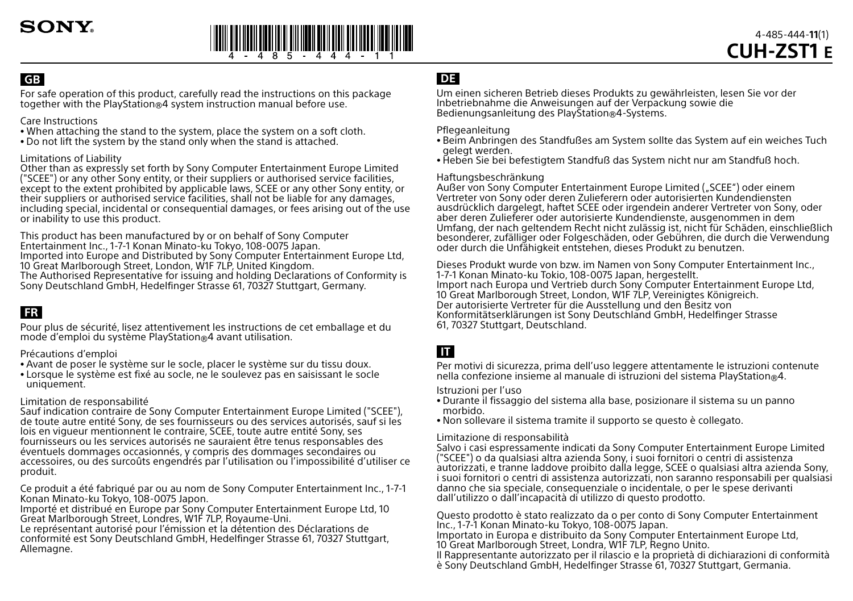

# **GB**

For safe operation of this product, carefully read the instructions on this package together with the PlayStation®4 system instruction manual before use.

### Care Instructions

- When attaching the stand to the system, place the system on a soft cloth.
- Do not lift the system by the stand only when the stand is attached.

### Limitations of Liability

Other than as expressly set forth by Sony Computer Entertainment Europe Limited ("SCEE") or any other Sony entity, or their suppliers or authorised service facilities, except to the extent prohibited by applicable laws, SCEE or any other Sony entity, or their suppliers or authorised service facilities, shall not be liable for any damages, including special, incidental or consequential damages, or fees arising out of the use or inability to use this product.

This product has been manufactured by or on behalf of Sony Computer Entertainment Inc., 1-7-1 Konan Minato-ku Tokyo, 108-0075 Japan.

Imported into Europe and Distributed by Sony Computer Entertainment Europe Ltd, 10 Great Marlborough Street, London, W1F 7LP, United Kingdom.

The Authorised Representative for issuing and holding Declarations of Conformity is Sony Deutschland GmbH, Hedelfinger Strasse 61, 70327 Stuttgart, Germany.

# **FR**

Pour plus de sécurité, lisez attentivement les instructions de cet emballage et du mode d'emploi du système PlayStation®4 avant utilisation.

Précautions d'emploi

- Avant de poser le système sur le socle, placer le système sur du tissu doux.
- Lorsque le système est fixé au socle, ne le soulevez pas en saisissant le socle uniquement.

### Limitation de responsabilité

Sauf indication contraire de Sony Computer Entertainment Europe Limited ("SCEE"), de toute autre entité Sony, de ses fournisseurs ou des services autorisés, sauf si les lois en vigueur mentionnent le contraire, SCEE, toute autre entité Sony, ses fournisseurs ou les services autorisés ne sauraient être tenus responsables des éventuels dommages occasionnés, y compris des dommages secondaires ou accessoires, ou des surcoûts engendrés par l'utilisation ou l'impossibilité d'utiliser ce produit.

Ce produit a été fabriqué par ou au nom de Sony Computer Entertainment Inc., 1-7-1 Konan Minato-ku Tokyo, 108-0075 Japon.

Importé et distribué en Europe par Sony Computer Entertainment Europe Ltd, 10 Great Marlborough Street, Londres, W1F 7LP, Royaume-Uni.

Le représentant autorisé pour l'émission et la détention des Déclarations de conformité est Sony Deutschland GmbH, Hedelfinger Strasse 61, 70327 Stuttgart, Allemagne.

## **DE**

Um einen sicheren Betrieb dieses Produkts zu gewährleisten, lesen Sie vor der Inbetriebnahme die Anweisungen auf der Verpackung sowie die Bedienungsanleitung des PlayStation®4-Systems.

### Pflegeanleitung

- Beim Anbringen des Standfußes am System sollte das System auf ein weiches Tuch gelegt werden.
- Heben Sie bei befestigtem Standfuß das System nicht nur am Standfuß hoch.

### Haftungsbeschränkung

Außer von Sony Computer Entertainment Europe Limited ("SCEE") oder einem Vertreter von Sony oder deren Zulieferern oder autorisierten Kundendiensten ausdrücklich dargelegt, haftet SCEE oder irgendein anderer Vertreter von Sony, oder aber deren Zulieferer oder autorisierte Kundendienste, ausgenommen in dem Umfang, der nach geltendem Recht nicht zulässig ist, nicht für Schäden, einschließlich besonderer, zufälliger oder Folgeschäden, oder Gebühren, die durch die Verwendung oder durch die Unfähigkeit entstehen, dieses Produkt zu benutzen.

Dieses Produkt wurde von bzw. im Namen von Sony Computer Entertainment Inc., 1-7-1 Konan Minato-ku Tokio, 108-0075 Japan, hergestellt. Import nach Europa und Vertrieb durch Sony Computer Entertainment Europe Ltd, 10 Great Marlborough Street, London, W1F 7LP, Vereinigtes Königreich. Der autorisierte Vertreter für die Ausstellung und den Besitz von Konformitätserklärungen ist Sony Deutschland GmbH, Hedelfinger Strasse 61, 70327 Stuttgart, Deutschland.

# **IT**

Per motivi di sicurezza, prima dell'uso leggere attentamente le istruzioni contenute nella confezione insieme al manuale di istruzioni del sistema PlayStation®4.

Istruzioni per l'uso

- Durante il fissaggio del sistema alla base, posizionare il sistema su un panno morbido.
- Non sollevare il sistema tramite il supporto se questo è collegato.

### Limitazione di responsabilità

Salvo i casi espressamente indicati da Sony Computer Entertainment Europe Limited ("SCEE") o da qualsiasi altra azienda Sony, i suoi fornitori o centri di assistenza autorizzati, e tranne laddove proibito dalla legge, SCEE o qualsiasi altra azienda Sony, i suoi fornitori o centri di assistenza autorizzati, non saranno responsabili per qualsiasi danno che sia speciale, consequenziale o incidentale, o per le spese derivanti dall'utilizzo o dall'incapacità di utilizzo di questo prodotto.

Questo prodotto è stato realizzato da o per conto di Sony Computer Entertainment Inc., 1-7-1 Konan Minato-ku Tokyo, 108-0075 Japan.

Importato in Europa e distribuito da Sony Computer Entertainment Europe Ltd, 10 Great Marlborough Street, Londra, W1F 7LP, Regno Unito.

Il Rappresentante autorizzato per il rilascio e la proprietà di dichiarazioni di conformità è Sony Deutschland GmbH, Hedelfinger Strasse 61, 70327 Stuttgart, Germania.